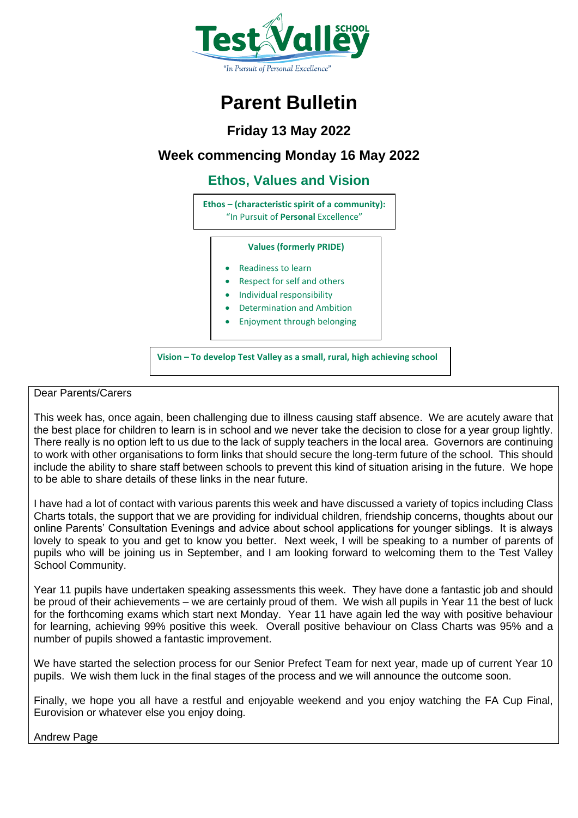

# **Parent Bulletin**

## **Friday 13 May 2022**

## **Week commencing Monday 16 May 2022**

**Ethos, Values and Vision**

**Ethos – (characteristic spirit of a community):** "In Pursuit of **Personal** Excellence"

#### **Values (formerly PRIDE)**

- Readiness to learn
- Respect for self and others
- Individual responsibility
- Determination and Ambition
- Enjoyment through belonging

**Vision – To develop Test Valley as a small, rural, high achieving school**

## Dear Parents/Carers

This week has, once again, been challenging due to illness causing staff absence. We are acutely aware that the best place for children to learn is in school and we never take the decision to close for a year group lightly. There really is no option left to us due to the lack of supply teachers in the local area. Governors are continuing to work with other organisations to form links that should secure the long-term future of the school. This should include the ability to share staff between schools to prevent this kind of situation arising in the future. We hope to be able to share details of these links in the near future.

I have had a lot of contact with various parents this week and have discussed a variety of topics including Class Charts totals, the support that we are providing for individual children, friendship concerns, thoughts about our online Parents' Consultation Evenings and advice about school applications for younger siblings. It is always lovely to speak to you and get to know you better. Next week, I will be speaking to a number of parents of pupils who will be joining us in September, and I am looking forward to welcoming them to the Test Valley School Community.

Year 11 pupils have undertaken speaking assessments this week. They have done a fantastic job and should be proud of their achievements – we are certainly proud of them. We wish all pupils in Year 11 the best of luck for the forthcoming exams which start next Monday. Year 11 have again led the way with positive behaviour for learning, achieving 99% positive this week. Overall positive behaviour on Class Charts was 95% and a number of pupils showed a fantastic improvement.

We have started the selection process for our Senior Prefect Team for next year, made up of current Year 10 pupils. We wish them luck in the final stages of the process and we will announce the outcome soon.

Finally, we hope you all have a restful and enjoyable weekend and you enjoy watching the FA Cup Final, Eurovision or whatever else you enjoy doing.

Andrew Page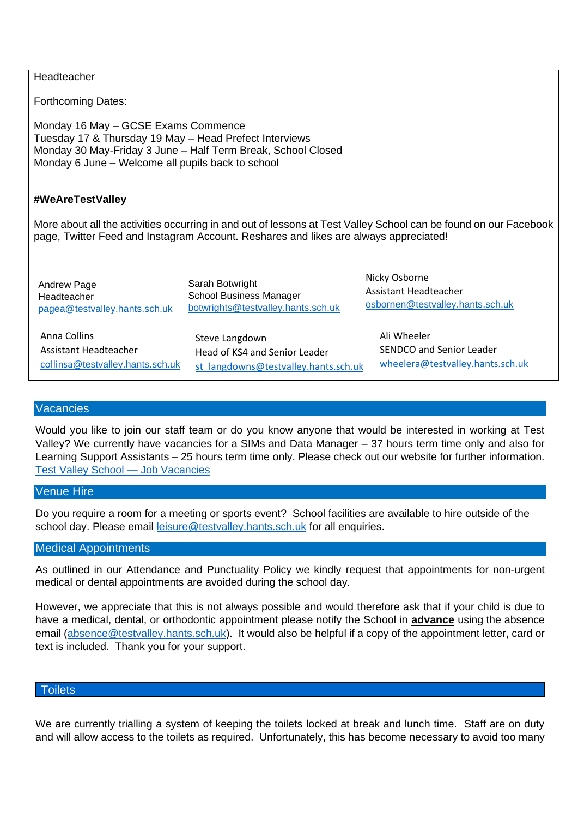| Headteacher                                                                                                                                                                                                        |                                                                                         |                                                                            |  |  |  |  |  |
|--------------------------------------------------------------------------------------------------------------------------------------------------------------------------------------------------------------------|-----------------------------------------------------------------------------------------|----------------------------------------------------------------------------|--|--|--|--|--|
| <b>Forthcoming Dates:</b>                                                                                                                                                                                          |                                                                                         |                                                                            |  |  |  |  |  |
| Monday 16 May - GCSE Exams Commence<br>Tuesday 17 & Thursday 19 May - Head Prefect Interviews<br>Monday 30 May-Friday 3 June - Half Term Break, School Closed<br>Monday 6 June – Welcome all pupils back to school |                                                                                         |                                                                            |  |  |  |  |  |
| #WeAreTestValley                                                                                                                                                                                                   |                                                                                         |                                                                            |  |  |  |  |  |
| More about all the activities occurring in and out of lessons at Test Valley School can be found on our Facebook<br>page, Twitter Feed and Instagram Account. Reshares and likes are always appreciated!           |                                                                                         |                                                                            |  |  |  |  |  |
| Andrew Page<br>Headteacher<br>pagea@testvalley.hants.sch.uk                                                                                                                                                        | Sarah Botwright<br><b>School Business Manager</b><br>botwrights@testvalley.hants.sch.uk | Nicky Osborne<br>Assistant Headteacher<br>osbornen@testvalley.hants.sch.uk |  |  |  |  |  |
| <b>Anna Collins</b><br>Assistant Headteacher                                                                                                                                                                       | Steve Langdown<br>Hood of KCA and Conjor Loador                                         | Ali Wheeler<br>SENDCO and Senior Leader                                    |  |  |  |  |  |

# **Vacancies**

Assistant Headteacher

[collinsa](mailto:collinsa@testvalley.hants.sch.uk)[@testvalley.hants.sch.uk](mailto:collinsa@testvalley.hants.sch.uk)

Would you like to join our staff team or do you know anyone that would be interested in working at Test Valley? We currently have vacancies for a SIMs and Data Manager – 37 hours term time only and also for Learning Support Assistants – 25 hours term time only. Please check out our website for further information. [Test Valley School —](https://www.testvalley.hants.sch.uk/our-school/job-vacancies/) Job Vacancies

Head of KS4 and Senior Leader

[st\\_langdowns@testvalley.hants.sch.uk](mailto:st_langdowns@testvalley.hants.sch.uk)

[wheelera@testvalley.hants.sch.uk](mailto:wheelera@testvalley.hants.sch.uk)

### Venue Hire

Do you require a room for a meeting or sports event? School facilities are available to hire outside of the school day. Please email [leisure@testvalley.hants.sch.uk](mailto:leisure@testvalley.hants.sch.uk) for all enquiries.

#### Medical Appointments

As outlined in our Attendance and Punctuality Policy we kindly request that appointments for non-urgent medical or dental appointments are avoided during the school day.

However, we appreciate that this is not always possible and would therefore ask that if your child is due to have a medical, dental, or orthodontic appointment please notify the School in **advance** using the absence email [\(absence@testvalley.hants.sch.uk\)](mailto:absence@testvalley.hants.sch.uk). It would also be helpful if a copy of the appointment letter, card or text is included. Thank you for your support.

### **Toilets**

We are currently trialling a system of keeping the toilets locked at break and lunch time. Staff are on duty and will allow access to the toilets as required. Unfortunately, this has become necessary to avoid too many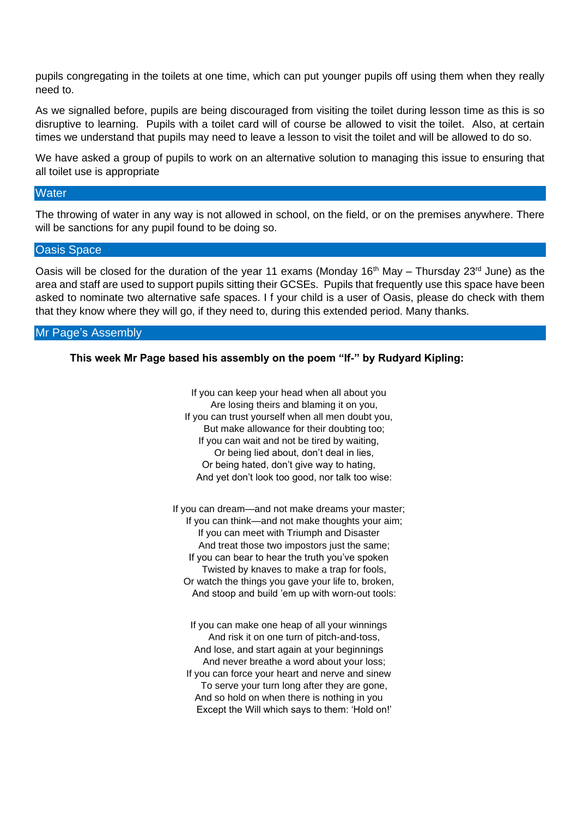pupils congregating in the toilets at one time, which can put younger pupils off using them when they really need to.

As we signalled before, pupils are being discouraged from visiting the toilet during lesson time as this is so disruptive to learning. Pupils with a toilet card will of course be allowed to visit the toilet. Also, at certain times we understand that pupils may need to leave a lesson to visit the toilet and will be allowed to do so.

We have asked a group of pupils to work on an alternative solution to managing this issue to ensuring that all toilet use is appropriate

#### **Water**

The throwing of water in any way is not allowed in school, on the field, or on the premises anywhere. There will be sanctions for any pupil found to be doing so.

### Oasis Space

Oasis will be closed for the duration of the year 11 exams (Monday 16<sup>th</sup> May – Thursday 23<sup>rd</sup> June) as the area and staff are used to support pupils sitting their GCSEs. Pupils that frequently use this space have been asked to nominate two alternative safe spaces. I f your child is a user of Oasis, please do check with them that they know where they will go, if they need to, during this extended period. Many thanks.

#### Mr Page's Assembly

### **This week Mr Page based his assembly on the poem "If-" by Rudyard Kipling:**

If you can keep your head when all about you Are losing theirs and blaming it on you, If you can trust yourself when all men doubt you, But make allowance for their doubting too; If you can wait and not be tired by waiting, Or being lied about, don't deal in lies, Or being hated, don't give way to hating, And yet don't look too good, nor talk too wise:

If you can dream—and not make dreams your master; If you can think—and not make thoughts your aim; If you can meet with Triumph and Disaster And treat those two impostors just the same; If you can bear to hear the truth you've spoken Twisted by knaves to make a trap for fools, Or watch the things you gave your life to, broken, And stoop and build 'em up with worn-out tools:

If you can make one heap of all your winnings And risk it on one turn of pitch-and-toss, And lose, and start again at your beginnings And never breathe a word about your loss; If you can force your heart and nerve and sinew To serve your turn long after they are gone, And so hold on when there is nothing in you Except the Will which says to them: 'Hold on!'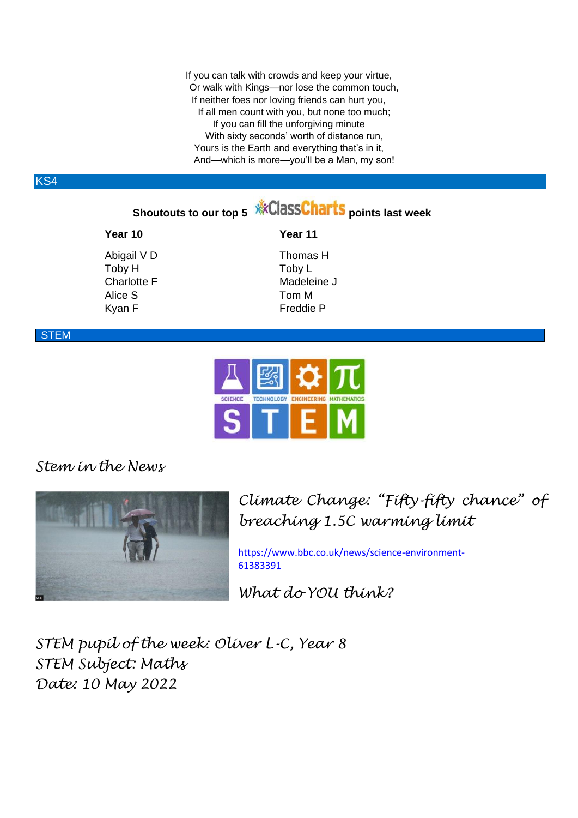If you can talk with crowds and keep your virtue, Or walk with Kings—nor lose the common touch, If neither foes nor loving friends can hurt you, If all men count with you, but none too much; If you can fill the unforgiving minute With sixty seconds' worth of distance run. Yours is the Earth and everything that's in it, And—which is more—you'll be a Man, my son!

## KS4

## **Shoutouts to our top 5** *W***CCONSCIPTIS** points last week

# **Year 10 Year 11** Toby H Toby L Alice S Tom M

Abigail V D Thomas H Charlotte F Madeleine J Kyan F Freddie P

## **STEM**



## *Stem in the News*



*Climate Change: "Fifty-fifty chance" of breaching 1.5C warming limit*

[https://www.bbc.co.uk/news/science-environment-](https://www.bbc.co.uk/news/science-environment-61383391)[61383391](https://www.bbc.co.uk/news/science-environment-61383391)

*What do YOU think?*

*STEM pupil of the week: Oliver L-C, Year 8 STEM Subject: Maths Date: 10 May 2022*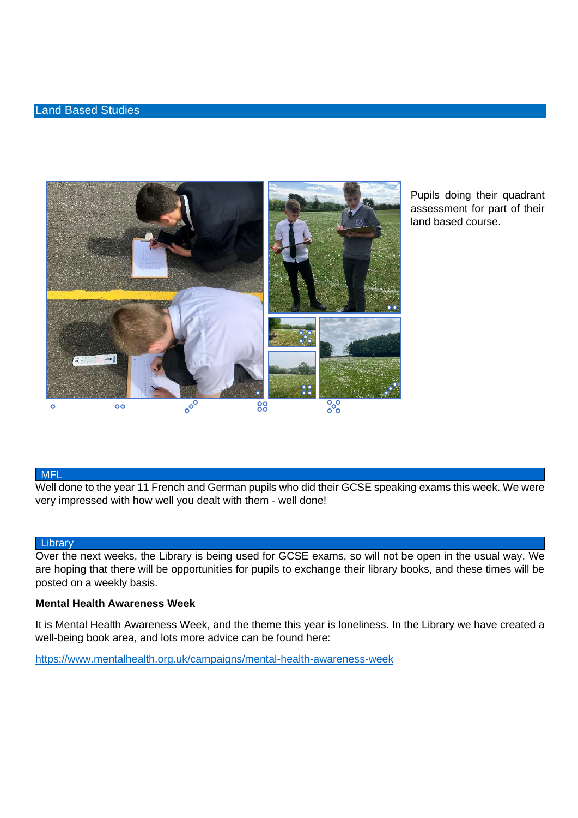### Land Based Studies



Pupils doing their quadrant assessment for part of their land based course.

## MFL

Well done to the year 11 French and German pupils who did their GCSE speaking exams this week. We were very impressed with how well you dealt with them - well done!

#### **Library**

Over the next weeks, the Library is being used for GCSE exams, so will not be open in the usual way. We are hoping that there will be opportunities for pupils to exchange their library books, and these times will be posted on a weekly basis.

### **Mental Health Awareness Week**

It is Mental Health Awareness Week, and the theme this year is loneliness. In the Library we have created a well-being book area, and lots more advice can be found here:

<https://www.mentalhealth.org.uk/campaigns/mental-health-awareness-week>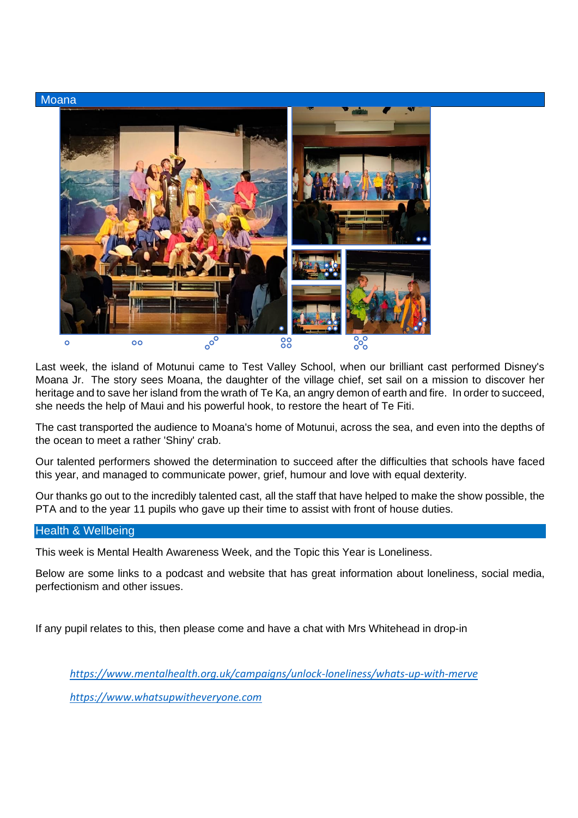

Last week, the island of Motunui came to Test Valley School, when our brilliant cast performed Disney's Moana Jr. The story sees Moana, the daughter of the village chief, set sail on a mission to discover her heritage and to save her island from the wrath of Te Ka, an angry demon of earth and fire. In order to succeed, she needs the help of Maui and his powerful hook, to restore the heart of Te Fiti.

The cast transported the audience to Moana's home of Motunui, across the sea, and even into the depths of the ocean to meet a rather 'Shiny' crab.

Our talented performers showed the determination to succeed after the difficulties that schools have faced this year, and managed to communicate power, grief, humour and love with equal dexterity.

Our thanks go out to the incredibly talented cast, all the staff that have helped to make the show possible, the PTA and to the year 11 pupils who gave up their time to assist with front of house duties.

## Health & Wellbeing

This week is Mental Health Awareness Week, and the Topic this Year is Loneliness.

Below are some links to a podcast and website that has great information about loneliness, social media, perfectionism and other issues.

If any pupil relates to this, then please come and have a chat with Mrs Whitehead in drop-in

*<https://www.mentalhealth.org.uk/campaigns/unlock-loneliness/whats-up-with-merve> [https://www.whatsupwitheveryone.com](https://www.whatsupwitheveryone.com/loneliness.php)*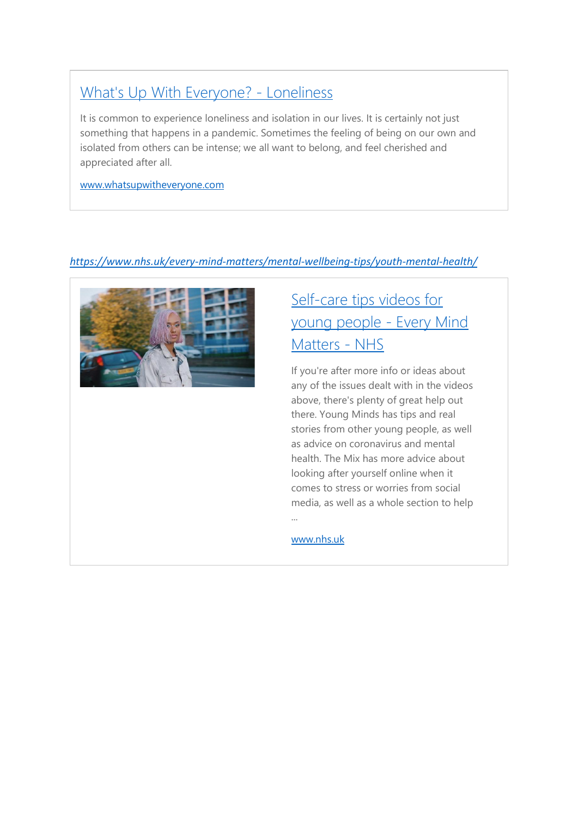## [What's Up With Everyone? -](https://www.whatsupwitheveryone.com/loneliness.php) Loneliness

It is common to experience loneliness and isolation in our lives. It is certainly not just something that happens in a pandemic. Sometimes the feeling of being on our own and isolated from others can be intense; we all want to belong, and feel cherished and appreciated after all.

[www.whatsupwitheveryone.com](http://www.whatsupwitheveryone.com/)

## *<https://www.nhs.uk/every-mind-matters/mental-wellbeing-tips/youth-mental-health/>*



# Self-care tips videos for [young people -](https://www.nhs.uk/every-mind-matters/mental-wellbeing-tips/youth-mental-health/) Every Mind [Matters -](https://www.nhs.uk/every-mind-matters/mental-wellbeing-tips/youth-mental-health/) NHS

If you're after more info or ideas about any of the issues dealt with in the videos above, there's plenty of great help out there. Young Minds has tips and real stories from other young people, as well as advice on coronavirus and mental health. The Mix has more advice about looking after yourself online when it comes to stress or worries from social media, as well as a whole section to help

[www.nhs.uk](http://www.nhs.uk/)

...